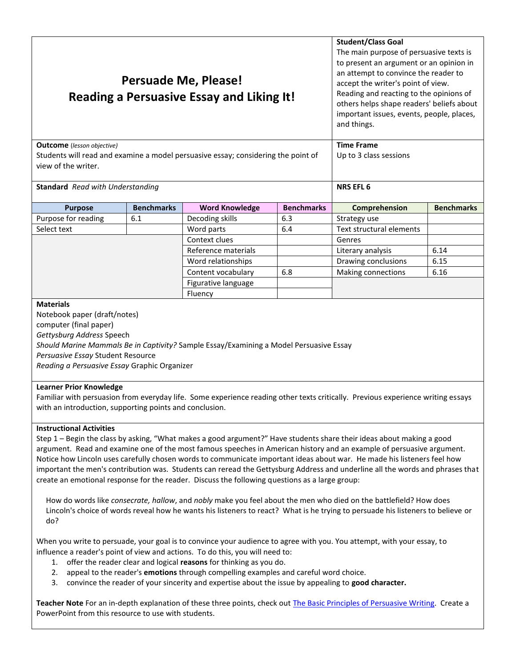| Persuade Me, Please!<br><b>Reading a Persuasive Essay and Liking It!</b>          |                   |                       |                   | <b>Student/Class Goal</b><br>The main purpose of persuasive texts is<br>to present an argument or an opinion in<br>an attempt to convince the reader to<br>accept the writer's point of view.<br>Reading and reacting to the opinions of<br>others helps shape readers' beliefs about<br>important issues, events, people, places,<br>and things. |                   |
|-----------------------------------------------------------------------------------|-------------------|-----------------------|-------------------|---------------------------------------------------------------------------------------------------------------------------------------------------------------------------------------------------------------------------------------------------------------------------------------------------------------------------------------------------|-------------------|
| <b>Outcome</b> (lesson objective)                                                 |                   |                       |                   | <b>Time Frame</b>                                                                                                                                                                                                                                                                                                                                 |                   |
| Students will read and examine a model persuasive essay; considering the point of |                   |                       |                   | Up to 3 class sessions                                                                                                                                                                                                                                                                                                                            |                   |
| view of the writer.                                                               |                   |                       |                   |                                                                                                                                                                                                                                                                                                                                                   |                   |
| <b>Standard</b> Read with Understanding                                           |                   |                       |                   | <b>NRS EFL 6</b>                                                                                                                                                                                                                                                                                                                                  |                   |
|                                                                                   |                   |                       |                   |                                                                                                                                                                                                                                                                                                                                                   |                   |
| <b>Purpose</b>                                                                    | <b>Benchmarks</b> | <b>Word Knowledge</b> | <b>Benchmarks</b> | Comprehension                                                                                                                                                                                                                                                                                                                                     | <b>Benchmarks</b> |
| Purpose for reading                                                               | 6.1               | Decoding skills       | 6.3               | Strategy use                                                                                                                                                                                                                                                                                                                                      |                   |
| Select text                                                                       |                   | Word parts            | 6.4               | <b>Text structural elements</b>                                                                                                                                                                                                                                                                                                                   |                   |
|                                                                                   |                   | Context clues         |                   | Genres                                                                                                                                                                                                                                                                                                                                            |                   |

Reference materials  $\vert$  Literary analysis | 6.14 Word relationships  $\vert$  Drawing conclusions | 6.15 Content vocabulary | 6.8 | Making connections | 6.16

*Persuasive Essay* Student Resource *Reading a Persuasive Essay* Graphic Organizer

#### **Learner Prior Knowledge**

Notebook paper (draft/notes) computer (final paper) *Gettysburg Address* Speech

**Materials**

Familiar with persuasion from everyday life. Some experience reading other texts critically. Previous experience writing essays with an introduction, supporting points and conclusion.

Figurative language

**Fluency** 

*Should Marine Mammals Be in Captivity?* Sample Essay/Examining a Model Persuasive Essay

#### **Instructional Activities**

Step 1 – Begin the class by asking, "What makes a good argument?" Have students share their ideas about making a good argument. Read and examine one of the most famous speeches in American history and an example of persuasive argument. Notice how Lincoln uses carefully chosen words to communicate important ideas about war. He made his listeners feel how important the men's contribution was. Students can reread the Gettysburg Address and underline all the words and phrases that create an emotional response for the reader. Discuss the following questions as a large group:

 How do words like *consecrate, hallow*, and *nobly* make you feel about the men who died on the battlefield? How does Lincoln's choice of words reveal how he wants his listeners to react? What is he trying to persuade his listeners to believe or do?

When you write to persuade, your goal is to convince your audience to agree with you. You attempt, with your essay, to influence a reader's point of view and actions. To do this, you will need to:

- 1. offer the reader clear and logical **reasons** for thinking as you do.
- 2. appeal to the reader's **emotions** through compelling examples and careful word choice.
- 3. convince the reader of your sincerity and expertise about the issue by appealing to **good character.**

**Teacher Note** For an in-depth explanation of these three points, check ou[t The Basic Principles of Persuasive Writing.](http://www.writingcentre.ubc.ca/workshop/tools/argument.htm) Create a PowerPoint from this resource to use with students.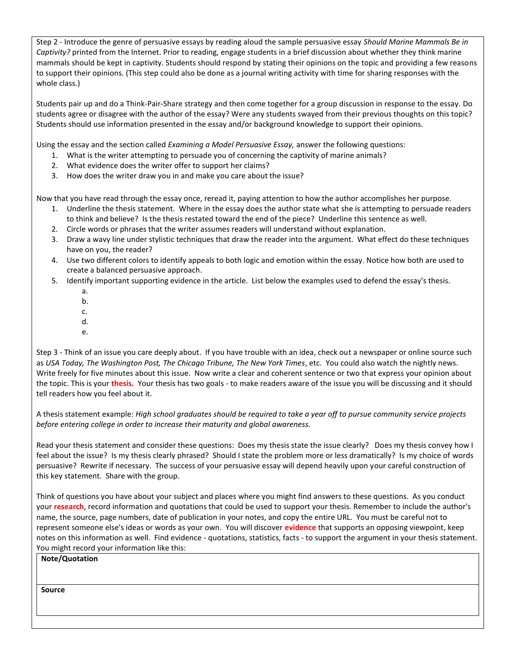Step 2 - Introduce the genre of persuasive essays by reading aloud the sample persuasive essay *[Should Marine Mammals Be in](http://teacher.scholastic.com/dolphin/conwin1.htm)  [Captivity?](http://teacher.scholastic.com/dolphin/conwin1.htm)* printed from the Internet. Prior to reading, engage students in a brief discussion about whether they think marine mammals should be kept in captivity. Students should respond by stating their opinions on the topic and providing a few reasons to support their opinions. (This step could also be done as a journal writing activity with time for sharing responses with the whole class.)

Students pair up and do a Think-Pair-Share strategy and then come together for a group discussion in response to the essay. Do students agree or disagree with the author of the essay? Were any students swayed from their previous thoughts on this topic? Students should use information presented in the essay and/or background knowledge to support their opinions.

Using the essay and the section called *Examining a Model Persuasive Essay,* answer the following questions:

- 1. What is the writer attempting to persuade you of concerning the captivity of marine animals?
- 2. What evidence does the writer offer to support her claims?
- 3. How does the writer draw you in and make you care about the issue?

Now that you have read through the essay once, reread it, paying attention to how the author accomplishes her purpose.

- 1. Underline the thesis statement. Where in the essay does the author state what she is attempting to persuade readers to think and believe? Is the thesis restated toward the end of the piece? Underline this sentence as well.
- 2. Circle words or phrases that the writer assumes readers will understand without explanation.
- 3. Draw a wavy line under stylistic techniques that draw the reader into the argument. What effect do these techniques have on you, the reader?
- 4. Use two different colors to identify appeals to both logic and emotion within the essay. Notice how both are used to create a balanced persuasive approach.
- 5. Identify important supporting evidence in the article. List below the examples used to defend the essay's thesis.
	- a. b.
	- c.
	- d.
	- e.

Step 3 - Think of an issue you care deeply about. If you have trouble with an idea, check out a newspaper or online source such as *USA Today, The Washington Post, The Chicago Tribune, The New York Times*, etc. You could also watch the nightly news. Write freely for five minutes about this issue. Now write a clear and coherent sentence or two that express your opinion about the topic. This is your **thesis.** Your thesis has two goals - to make readers aware of the issue you will be discussing and it should tell readers how you feel about it.

A thesis statement example: *High school graduates should be required to take a year off to pursue community service projects before entering college in order to increase their maturity and global awareness.*

Read your thesis statement and consider these questions: Does my thesis state the issue clearly? Does my thesis convey how I feel about the issue? Is my thesis clearly phrased? Should I state the problem more or less dramatically? Is my choice of words persuasive? Rewrite if necessary. The success of your persuasive essay will depend heavily upon your careful construction of this key statement. Share with the group.

Think of questions you have about your subject and places where you might find answers to these questions. As you conduct your **research**, record information and quotations that could be used to support your thesis. Remember to include the author's name, the source, page numbers, date of publication in your notes, and copy the entire URL. You must be careful not to represent someone else's ideas or words as your own. You will discover **evidence** that supports an opposing viewpoint, keep notes on this information as well. Find evidence - quotations, statistics, facts - to support the argument in your thesis statement. You might record your information like this:

#### **Note/Quotation**

**Source**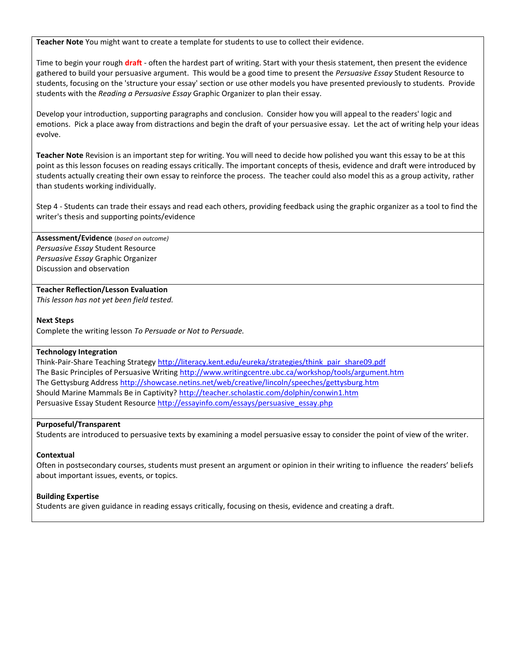**Teacher Note** You might want to create a template for students to use to collect their evidence.

Time to begin your rough **draft** - often the hardest part of writing. Start with your thesis statement, then present the evidence gathered to build your persuasive argument. This would be a good time to present the *Persuasive Essay* Student Resource to students, focusing on the 'structure your essay' section or use other models you have presented previously to students. Provide students with the *Reading a Persuasive Essay* Graphic Organizer to plan their essay.

Develop your introduction, supporting paragraphs and conclusion. Consider how you will appeal to the readers' logic and emotions. Pick a place away from distractions and begin the draft of your persuasive essay. Let the act of writing help your ideas evolve.

**Teacher Note** Revision is an important step for writing. You will need to decide how polished you want this essay to be at this point as this lesson focuses on reading essays critically. The important concepts of thesis, evidence and draft were introduced by students actually creating their own essay to reinforce the process. The teacher could also model this as a group activity, rather than students working individually.

Step 4 - Students can trade their essays and read each others, providing feedback using the graphic organizer as a tool to find the writer's thesis and supporting points/evidence

**Assessment/Evidence** (*based on outcome) Persuasive Essay* Student Resource *Persuasive Essay* Graphic Organizer Discussion and observation

#### **Teacher Reflection/Lesson Evaluation**

*This lesson has not yet been field tested.*

#### **Next Steps**

Complete the writing lesson *To Persuade or Not to Persuade.*

#### **Technology Integration**

Think-Pair-Share Teaching Strategy [http://literacy.kent.edu/eureka/strategies/think\\_pair\\_share09.pdf](http://literacy.kent.edu/eureka/strategies/think_pair_share09.pdf) The Basic Principles of Persuasive Writin[g http://www.writingcentre.ubc.ca/workshop/tools/argument.htm](http://www.writingcentre.ubc.ca/workshop/tools/argument.htm)  The Gettysburg Address<http://showcase.netins.net/web/creative/lincoln/speeches/gettysburg.htm> Should Marine Mammals Be in Captivity? <http://teacher.scholastic.com/dolphin/conwin1.htm> Persuasive Essay Student Resource [http://essayinfo.com/essays/persuasive\\_essay.php](http://essayinfo.com/essays/persuasive_essay.php)

#### **Purposeful/Transparent**

Students are introduced to persuasive texts by examining a model persuasive essay to consider the point of view of the writer.

#### **Contextual**

Often in postsecondary courses, students must present an argument or opinion in their writing to influence the readers' beliefs about important issues, events, or topics.

#### **Building Expertise**

Students are given guidance in reading essays critically, focusing on thesis, evidence and creating a draft.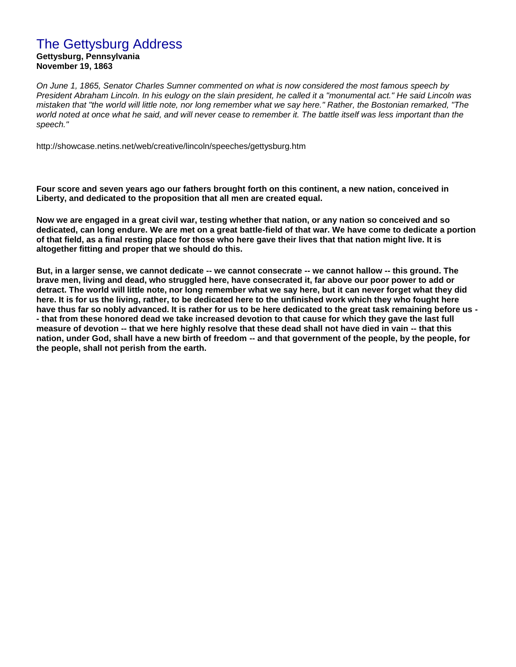## The Gettysburg Address

**Gettysburg, Pennsylvania November 19, 1863**

*On June 1, 1865, Senator Charles Sumner commented on what is now considered the most famous speech by President Abraham Lincoln. In his eulogy on the slain president, he called it a "monumental act." He said Lincoln was mistaken that "the world will little note, nor long remember what we say here." Rather, the Bostonian remarked, "The world noted at once what he said, and will never cease to remember it. The battle itself was less important than the speech."*

http://showcase.netins.net/web/creative/lincoln/speeches/gettysburg.htm

**Four score and seven years ago our fathers brought forth on this continent, a new nation, conceived in Liberty, and dedicated to the proposition that all men are created equal.** 

**Now we are engaged in a great civil war, testing whether that nation, or any nation so conceived and so dedicated, can long endure. We are met on a great battle-field of that war. We have come to dedicate a portion of that field, as a final resting place for those who here gave their lives that that nation might live. It is altogether fitting and proper that we should do this.** 

**But, in a larger sense, we cannot dedicate -- we cannot consecrate -- we cannot hallow -- this ground. The brave men, living and dead, who struggled here, have consecrated it, far above our poor power to add or detract. The world will little note, nor long remember what we say here, but it can never forget what they did here. It is for us the living, rather, to be dedicated here to the unfinished work which they who fought here have thus far so nobly advanced. It is rather for us to be here dedicated to the great task remaining before us - - that from these honored dead we take increased devotion to that cause for which they gave the last full measure of devotion -- that we here highly resolve that these dead shall not have died in vain -- that this nation, under God, shall have a new birth of freedom -- and that government of the people, by the people, for the people, shall not perish from the earth.**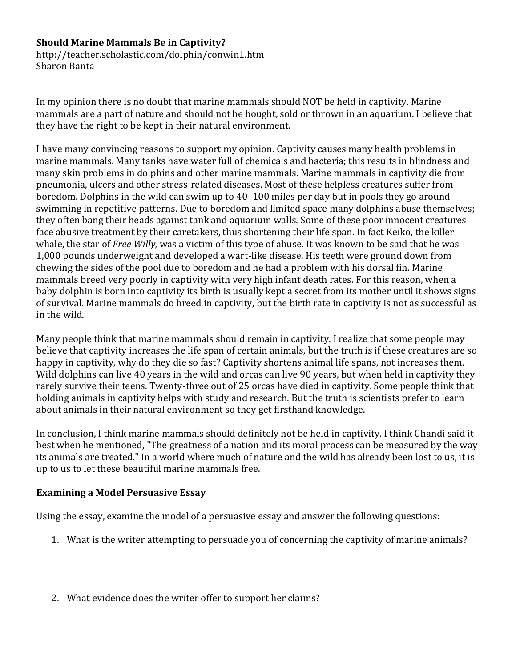## **Should Marine Mammals Be in Captivity?**

http://teacher.scholastic.com/dolphin/conwin1.htm Sharon Banta

In my opinion there is no doubt that marine mammals should NOT be held in captivity. Marine mammals are a part of nature and should not be bought, sold or thrown in an aquarium. I believe that they have the right to be kept in their natural environment.

I have many convincing reasons to support my opinion. Captivity causes many health problems in marine mammals. Many tanks have water full of chemicals and bacteria; this results in blindness and many skin problems in dolphins and other marine mammals. Marine mammals in captivity die from pneumonia, ulcers and other stress-related diseases. Most of these helpless creatures suffer from boredom. Dolphins in the wild can swim up to 40–100 miles per day but in pools they go around swimming in repetitive patterns. Due to boredom and limited space many dolphins abuse themselves; they often bang their heads against tank and aquarium walls. Some of these poor innocent creatures face abusive treatment by their caretakers, thus shortening their life span. In fact Keiko, the killer whale, the star of *Free Willy,* was a victim of this type of abuse. It was known to be said that he was 1,000 pounds underweight and developed a wart-like disease. His teeth were ground down from chewing the sides of the pool due to boredom and he had a problem with his dorsal fin. Marine mammals breed very poorly in captivity with very high infant death rates. For this reason, when a baby dolphin is born into captivity its birth is usually kept a secret from its mother until it shows signs of survival. Marine mammals do breed in captivity, but the birth rate in captivity is not as successful as in the wild.

Many people think that marine mammals should remain in captivity. I realize that some people may believe that captivity increases the life span of certain animals, but the truth is if these creatures are so happy in captivity, why do they die so fast? Captivity shortens animal life spans, not increases them. Wild dolphins can live 40 years in the wild and orcas can live 90 years, but when held in captivity they rarely survive their teens. Twenty-three out of 25 orcas have died in captivity. Some people think that holding animals in captivity helps with study and research. But the truth is scientists prefer to learn about animals in their natural environment so they get firsthand knowledge.

In conclusion, I think marine mammals should definitely not be held in captivity. I think Ghandi said it best when he mentioned, "The greatness of a nation and its moral process can be measured by the way its animals are treated." In a world where much of nature and the wild has already been lost to us, it is up to us to let these beautiful marine mammals free.

### **Examining a Model Persuasive Essay**

Using the essay, examine the model of a persuasive essay and answer the following questions:

- 1. What is the writer attempting to persuade you of concerning the captivity of marine animals?
- 2. What evidence does the writer offer to support her claims?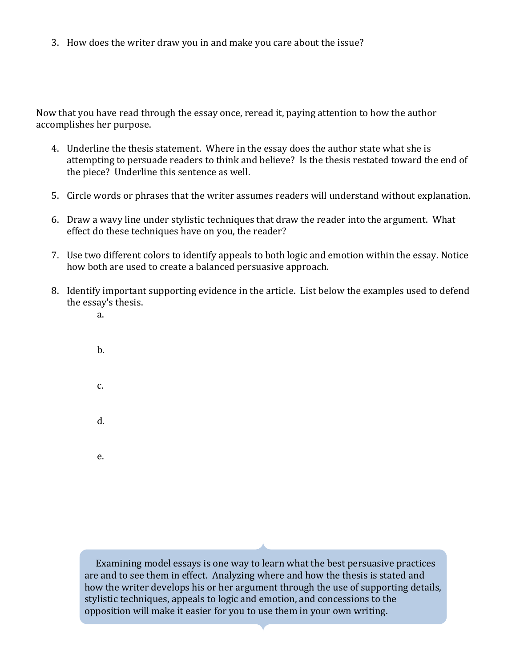3. How does the writer draw you in and make you care about the issue?

Now that you have read through the essay once, reread it, paying attention to how the author accomplishes her purpose.

- 4. Underline the thesis statement. Where in the essay does the author state what she is attempting to persuade readers to think and believe? Is the thesis restated toward the end of the piece? Underline this sentence as well.
- 5. Circle words or phrases that the writer assumes readers will understand without explanation.
- 6. Draw a wavy line under stylistic techniques that draw the reader into the argument. What effect do these techniques have on you, the reader?
- 7. Use two different colors to identify appeals to both logic and emotion within the essay. Notice how both are used to create a balanced persuasive approach.
- 8. Identify important supporting evidence in the article. List below the examples used to defend the essay's thesis.
	- a.
	- b. c. d. e.

Examining model essays is one way to learn what the best persuasive practices are and to see them in effect. Analyzing where and how the thesis is stated and how the writer develops his or her argument through the use of supporting details, stylistic techniques, appeals to logic and emotion, and concessions to the opposition will make it easier for you to use them in your own writing.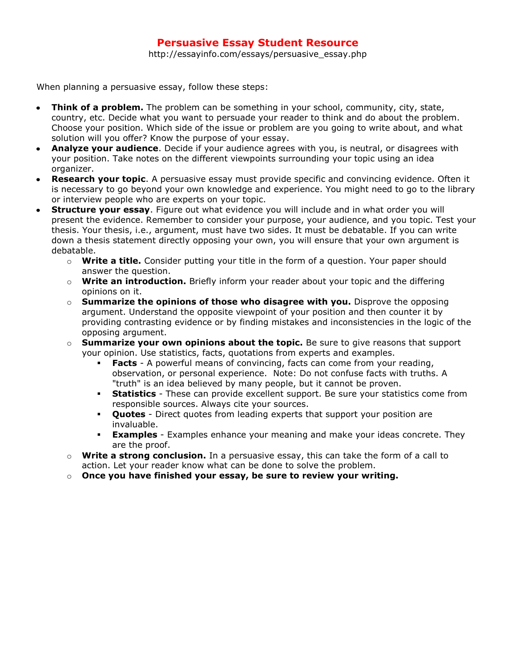## **Persuasive Essay Student Resource**

http://essayinfo.com/essays/persuasive\_essay.php

When planning a persuasive essay, follow these steps:

- **Think of a problem.** The problem can be something in your school, community, city, state,  $\bullet$ country, etc. Decide what you want to persuade your reader to think and do about the problem. Choose your position. Which side of the issue or problem are you going to write about, and what solution will you offer? Know the purpose of your essay.
- **Analyze your audience**. Decide if your audience agrees with you, is neutral, or disagrees with your position. Take notes on the different viewpoints surrounding your topic using an idea organizer.
- **Research your topic**. A persuasive essay must provide specific and convincing evidence. Often it is necessary to go beyond your own knowledge and experience. You might need to go to the library or interview people who are experts on your topic.
- **Structure your essay**. Figure out what evidence you will include and in what order you will present the evidence. Remember to consider your purpose, your audience, and you topic. Test your thesis. Your thesis, i.e., argument, must have two sides. It must be debatable. If you can write down a thesis statement directly opposing your own, you will ensure that your own argument is debatable.
	- o **Write a title.** Consider putting your title in the form of a question. Your paper should answer the question.
	- o **Write an introduction.** Briefly inform your reader about your topic and the differing opinions on it.
	- o **Summarize the opinions of those who disagree with you.** Disprove the opposing argument. Understand the opposite viewpoint of your position and then counter it by providing contrasting evidence or by finding mistakes and inconsistencies in the logic of the opposing argument.
	- o **Summarize your own opinions about the topic.** Be sure to give reasons that support your opinion. Use statistics, facts, quotations from experts and examples.
		- **Facts** A powerful means of convincing, facts can come from your reading, observation, or personal experience. Note: Do not confuse facts with truths. A "truth" is an idea believed by many people, but it cannot be proven.
		- **Statistics** These can provide excellent support. Be sure your statistics come from responsible sources. Always cite your sources.
		- **Quotes** Direct quotes from leading experts that support your position are invaluable.
		- **Examples** Examples enhance your meaning and make your ideas concrete. They are the proof.
	- o **Write a strong conclusion.** In a persuasive essay, this can take the form of a call to action. Let your reader know what can be done to solve the problem.
	- o **Once you have finished your essay, be sure to review your writing.**